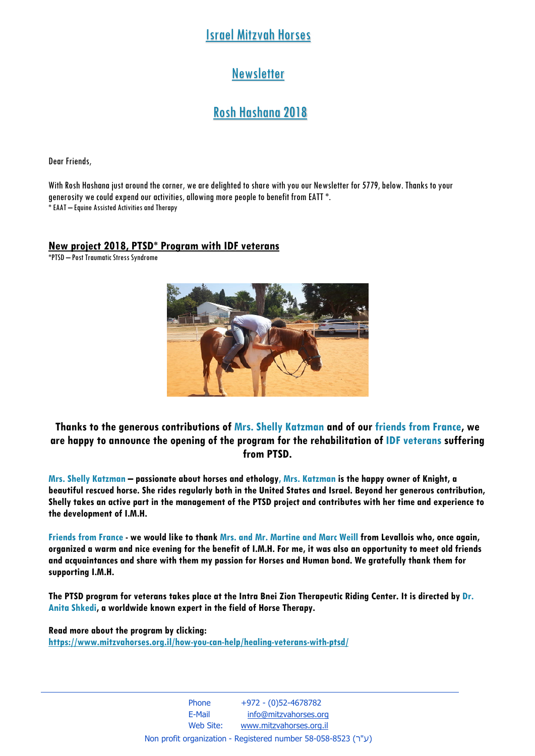# Israel Mitzvah Horses

# **Newsletter**

# Rosh Hashana 2018

Dear Friends,

With Rosh Hashana just around the corner, we are delighted to share with you our Newsletter for 5779, below. Thanks to your generosity we could expend our activities, allowing more people to benefit from EATT \*. \* EAAT – Equine Assisted Activities and Therapy

#### **New project 2018, PTSD\* Program with IDF veterans**

\*PTSD – Post Traumatic Stress Syndrome



#### **Thanks to the generous contributions of Mrs. Shelly Katzman and of our friends from France, we are happy to announce the opening of the program for the rehabilitation of IDF veterans suffering from PTSD.**

**Mrs. Shelly Katzman – passionate about horses and ethology, Mrs. Katzman is the happy owner of Knight, a beautiful rescued horse. She rides regularly both in the United States and Israel. Beyond her generous contribution, Shelly takes an active part in the management of the PTSD project and contributes with her time and experience to the development of I.M.H.** 

**Friends from France - we would like to thank Mrs. and Mr. Martine and Marc Weill from Levallois who, once again, organized a warm and nice evening for the benefit of I.M.H. For me, it was also an opportunity to meet old friends and acquaintances and share with them my passion for Horses and Human bond. We gratefully thank them for supporting I.M.H.** 

**The PTSD program for veterans takes place at the Intra Bnei Zion Therapeutic Riding Center. It is directed by Dr. Anita Shkedi, a worldwide known expert in the field of Horse Therapy.** 

**Read more about the program by clicking: https://www.mitzvahorses.org.il/how-you-can-help/healing-veterans-with-ptsd/** 

> Phone  $+972 - (0)52 - 4678782$ E-Mail info@mitzvahorses.org Web Site: www.mitzvahorses.org.il Non profit organization - Registered number 58-058-8523 (ע"ר)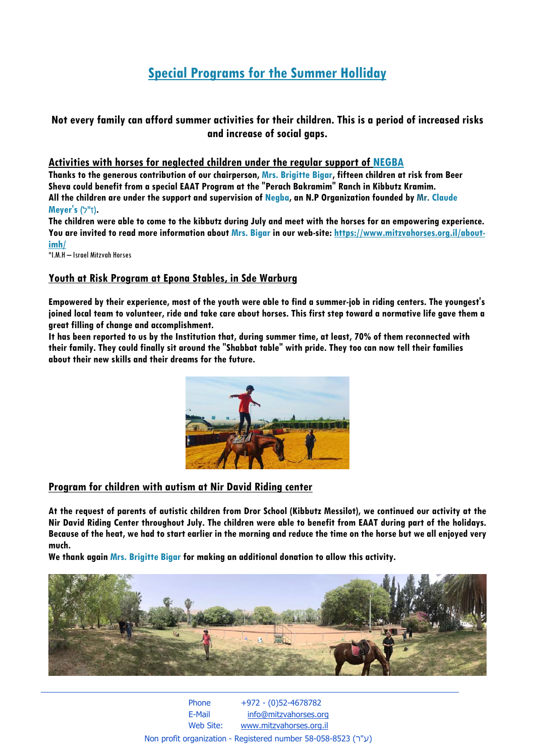# **Special Programs for the Summer Holliday**

### **Not every family can afford summer activities for their children. This is a period of increased risks and increase of social gaps.**

#### **Activities with horses for neglected children under the regular support of NEGBA**

**Thanks to the generous contribution of our chairperson, Mrs. Brigitte Bigar, fifteen children at risk from Beer Sheva could benefit from a special EAAT Program at the "Perach Bakramim" Ranch in Kibbutz Kramim. All the children are under the support and supervision of Negba, an N.P Organization founded by Mr. Claude**  *Mever's ('ז"ל)*.

**The children were able to come to the kibbutz during July and meet with the horses for an empowering experience. You are invited to read more information about Mrs. Bigar in our web-site: https://www.mitzvahorses.org.il/aboutimh/** 

\*I.M.H – Israel Mitzvah Horses

#### **Youth at Risk Program at Epona Stables, in Sde Warburg**

**Empowered by their experience, most of the youth were able to find a summer-job in riding centers. The youngest's joined local team to volunteer, ride and take care about horses. This first step toward a normative life gave them a great filling of change and accomplishment.** 

**It has been reported to us by the Institution that, during summer time, at least, 70% of them reconnected with their family. They could finally sit around the "Shabbat table" with pride. They too can now tell their families about their new skills and their dreams for the future.** 



#### **Program for children with autism at Nir David Riding center**

**At the request of parents of autistic children from Dror School (Kibbutz Messilot), we continued our activity at the Nir David Riding Center throughout July. The children were able to benefit from EAAT during part of the holidays. Because of the heat, we had to start earlier in the morning and reduce the time on the horse but we all enjoyed very much.** 

**We thank again Mrs. Brigitte Bigar for making an additional donation to allow this activity.** 



 Phone +972 - (0)52-4678782 E-Mail info@mitzvahorses.org Web Site: www.mitzvahorses.org.il Non profit organization - Registered number 58-058-8523 (ע"ר)